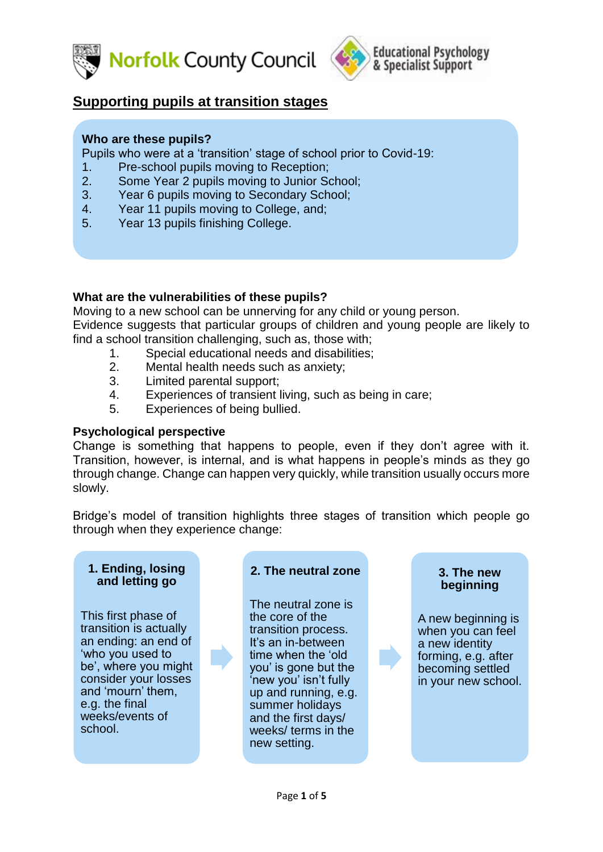



# **Supporting pupils at transition stages**

#### **Who are these pupils?**

Pupils who were at a 'transition' stage of school prior to Covid-19:

- 1. Pre-school pupils moving to Reception;
- 2. Some Year 2 pupils moving to Junior School;
- 3. Year 6 pupils moving to Secondary School;
- 4. Year 11 pupils moving to College, and;
- 5. Year 13 pupils finishing College.

## **What are the vulnerabilities of these pupils?**

Moving to a new school can be unnerving for any child or young person. Evidence suggests that particular groups of children and young people are likely to find a school transition challenging, such as, those with;

- 1. Special educational needs and disabilities;
- 2. Mental health needs such as anxiety;
- 3. Limited parental support;
- 4. Experiences of transient living, such as being in care;
- 5. Experiences of being bullied.

#### **Psychological perspective**

Change is something that happens to people, even if they don't agree with it. Transition, however, is internal, and is what happens in people's minds as they go through change. Change can happen very quickly, while transition usually occurs more slowly.

Bridge's model of transition highlights three stages of transition which people go through when they experience change:

#### **1. Ending, losing and letting go**

This first phase of transition is actually an ending: an end of 'who you used to be', where you might consider your losses and 'mourn' them, e.g. the final weeks/events of school.



The neutral zone is the core of the transition process. It's an in-between time when the 'old you' is gone but the 'new you' isn't fully up and running, e.g. summer holidays and the first days/ weeks/ terms in the new setting.

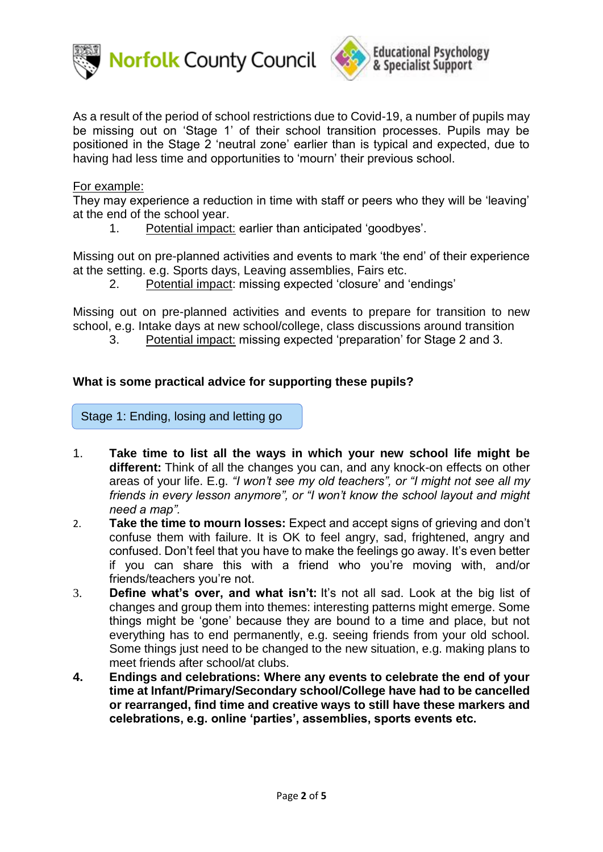



#### For example:

They may experience a reduction in time with staff or peers who they will be 'leaving' at the end of the school year.

1. Potential impact: earlier than anticipated 'goodbyes'.

Missing out on pre-planned activities and events to mark 'the end' of their experience at the setting. e.g. Sports days, Leaving assemblies, Fairs etc.

2. Potential impact: missing expected 'closure' and 'endings'

Missing out on pre-planned activities and events to prepare for transition to new school, e.g. Intake days at new school/college, class discussions around transition

3. Potential impact: missing expected 'preparation' for Stage 2 and 3.

### **What is some practical advice for supporting these pupils?**

Stage 1: Ending, losing and letting go

- 1. **Take time to list all the ways in which your new school life might be different:** Think of all the changes you can, and any knock-on effects on other areas of your life. E.g. *"I won't see my old teachers", or "I might not see all my friends in every lesson anymore", or "I won't know the school layout and might need a map".*
- 2. **Take the time to mourn losses:** Expect and accept signs of grieving and don't confuse them with failure. It is OK to feel angry, sad, frightened, angry and confused. Don't feel that you have to make the feelings go away. It's even better if you can share this with a friend who you're moving with, and/or friends/teachers you're not.
- 3. **Define what's over, and what isn't:** It's not all sad. Look at the big list of changes and group them into themes: interesting patterns might emerge. Some things might be 'gone' because they are bound to a time and place, but not everything has to end permanently, e.g. seeing friends from your old school. Some things just need to be changed to the new situation, e.g. making plans to meet friends after school/at clubs.
- **4. Endings and celebrations: Where any events to celebrate the end of your time at Infant/Primary/Secondary school/College have had to be cancelled or rearranged, find time and creative ways to still have these markers and celebrations, e.g. online 'parties', assemblies, sports events etc.**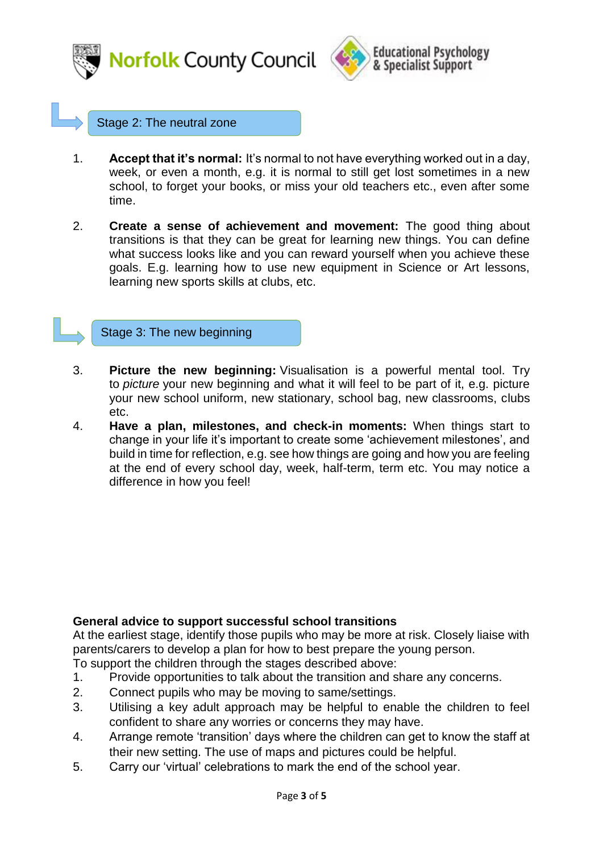



#### Stage 2: The neutral zone

- 1. **Accept that it's normal:** It's normal to not have everything worked out in a day, week, or even a month, e.g. it is normal to still get lost sometimes in a new school, to forget your books, or miss your old teachers etc., even after some time.
- 2. **Create a sense of achievement and movement:** The good thing about transitions is that they can be great for learning new things. You can define what success looks like and you can reward yourself when you achieve these goals. E.g. learning how to use new equipment in Science or Art lessons, learning new sports skills at clubs, etc.

Stage 3: The new beginning

- 3. **Picture the new beginning:** Visualisation is a powerful mental tool. Try to *picture* your new beginning and what it will feel to be part of it, e.g. picture your new school uniform, new stationary, school bag, new classrooms, clubs etc.
- 4. **Have a plan, milestones, and check-in moments:** When things start to change in your life it's important to create some 'achievement milestones', and build in time for reflection, e.g. see how things are going and how you are feeling at the end of every school day, week, half-term, term etc. You may notice a difference in how you feel!

#### **General advice to support successful school transitions**

At the earliest stage, identify those pupils who may be more at risk. Closely liaise with parents/carers to develop a plan for how to best prepare the young person.

To support the children through the stages described above:

- 1. Provide opportunities to talk about the transition and share any concerns.
- 2. Connect pupils who may be moving to same/settings.
- 3. Utilising a key adult approach may be helpful to enable the children to feel confident to share any worries or concerns they may have.
- 4. Arrange remote 'transition' days where the children can get to know the staff at their new setting. The use of maps and pictures could be helpful.
- 5. Carry our 'virtual' celebrations to mark the end of the school year.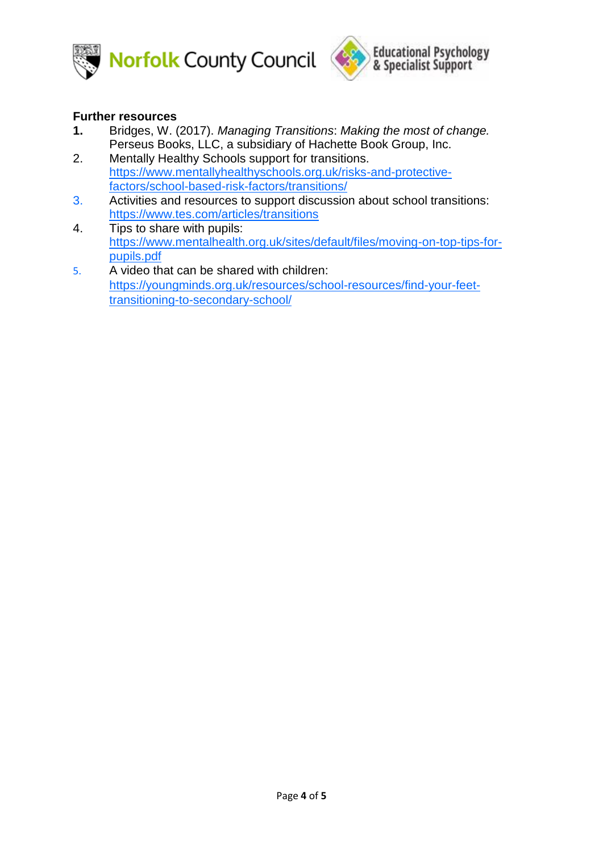



### **Further resources**

- **1.** Bridges, W. (2017). *Managing Transitions*: *Making the most of change.* Perseus Books, LLC, a subsidiary of Hachette Book Group, Inc.
- 2. Mentally Healthy Schools support for transitions. [https://www.mentallyhealthyschools.org.uk/risks-and-protective](https://www.mentallyhealthyschools.org.uk/risks-and-protective-factors/school-based-risk-factors/transitions/)[factors/school-based-risk-factors/transitions/](https://www.mentallyhealthyschools.org.uk/risks-and-protective-factors/school-based-risk-factors/transitions/)
- 3. Activities and resources to support discussion about school transitions: <https://www.tes.com/articles/transitions>
- 4. Tips to share with pupils: [https://www.mentalhealth.org.uk/sites/default/files/moving-on-top-tips-for](https://www.mentalhealth.org.uk/sites/default/files/moving-on-top-tips-for-pupils.pdf)[pupils.pdf](https://www.mentalhealth.org.uk/sites/default/files/moving-on-top-tips-for-pupils.pdf)
- 5. A video that can be shared with children: [https://youngminds.org.uk/resources/school-resources/find-your-feet](https://youngminds.org.uk/resources/school-resources/find-your-feet-transitioning-to-secondary-school/)[transitioning-to-secondary-school/](https://youngminds.org.uk/resources/school-resources/find-your-feet-transitioning-to-secondary-school/)